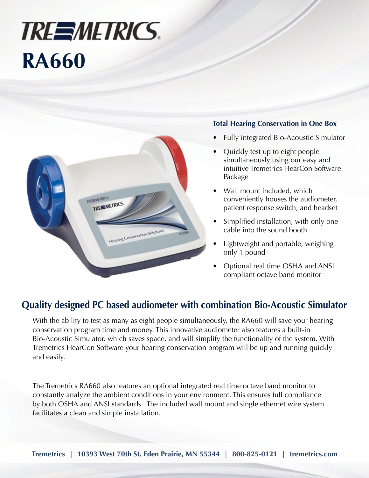## **TREEMETRICS. RA660**



#### **Total Hearing Conservation in One Box**

- Fully integrated Bio-Acoustic Simulator
- Quickly test up to eight people simultaneously using our easy and intuitive Tremetrics HearCon Software Package
- Wall mount included, which conveniently houses the audiometer, patient response switch, and headset
- Simplified installation, with only one cable into the sound booth
- Lightweight and portable, weighing only 1 pound
- Optional real time OSHA and ANSI compliant octave band monitor

### **Quality designed PC based audiometer with combination Bio-Acoustic Simulator**

With the ability to test as many as eight people simultaneously, the RA660 will save your hearing conservation program time and money. This innovative audiometer also features a built-in Bio-Acoustic Simulator, which saves space, and will simplify the functionality of the system. With Tremetrics HearCon Software your hearing conservation program will be up and running quickly and easily.

The Tremetrics RA660 also features an optional integrated real time octave band monitor to constantly analyze the ambient conditions in your environment. This ensures full compliance by both OSHA and ANSI standards. The included wall mount and single ethernet wire system facilitates a clean and simple installation.